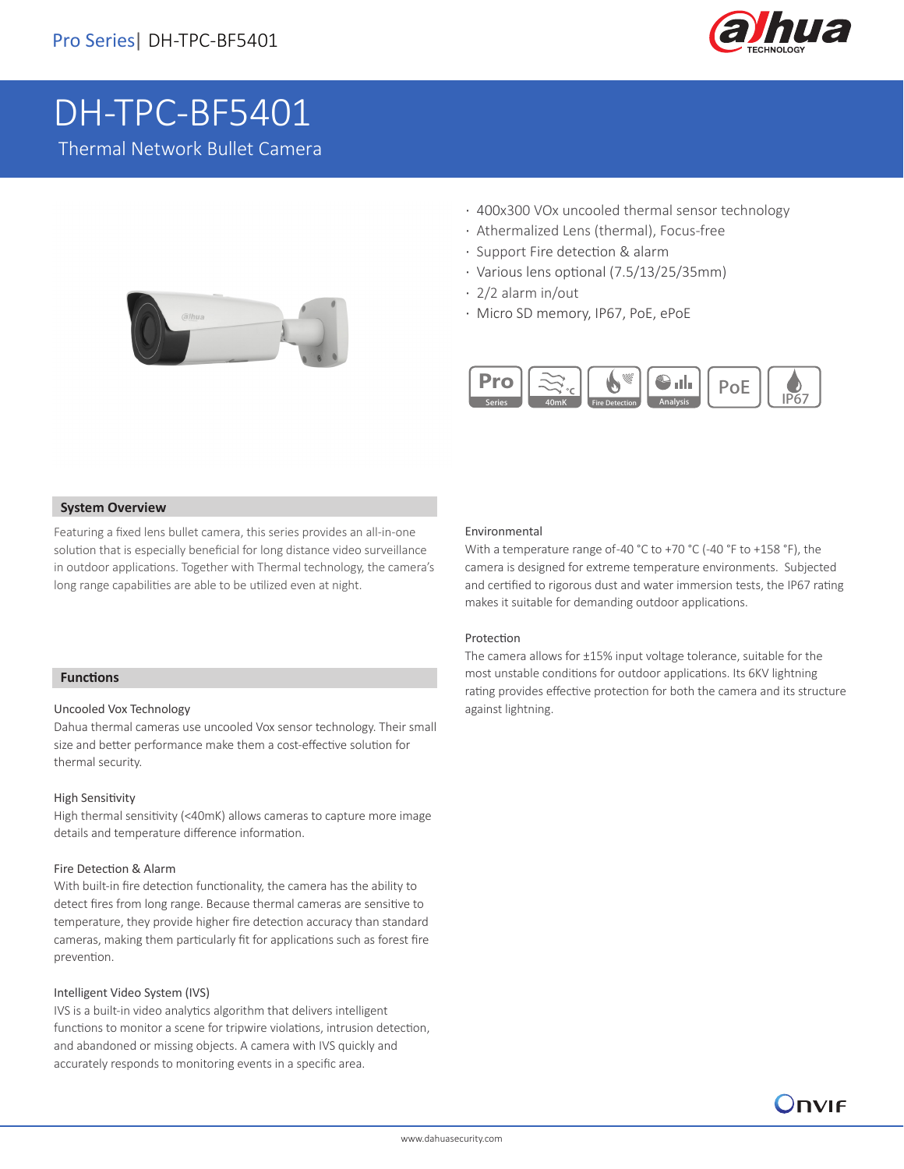

# DH-TPC-BF5401

Thermal Network Bullet Camera



- · 400x300 VOx uncooled thermal sensor technology
- · Athermalized Lens (thermal), Focus-free
- · Support Fire detection & alarm
- · Various lens optional (7.5/13/25/35mm)
- · 2/2 alarm in/out
- · Micro SD memory, IP67, PoE, ePoE



#### **System Overview**

Featuring a fixed lens bullet camera, this series provides an all-in-one solution that is especially beneficial for long distance video surveillance in outdoor applications. Together with Thermal technology, the camera's long range capabilities are able to be utilized even at night.

## **Functions**

I

#### Uncooled Vox Technology

Dahua thermal cameras use uncooled Vox sensor technology. Their small size and better performance make them a cost-effective solution for thermal security.

#### High Sensitivity

High thermal sensitivity (<40mK) allows cameras to capture more image details and temperature difference information.

#### Fire Detection & Alarm

With built-in fire detection functionality, the camera has the ability to detect fires from long range. Because thermal cameras are sensitive to temperature, they provide higher fire detection accuracy than standard cameras, making them particularly fit for applications such as forest fire prevention.

#### Intelligent Video System (IVS)

IVS is a built-in video analytics algorithm that delivers intelligent functions to monitor a scene for tripwire violations, intrusion detection, and abandoned or missing objects. A camera with IVS quickly and accurately responds to monitoring events in a specific area.

#### Environmental

With a temperature range of-40 °C to +70 °C (-40 °F to +158 °F), the camera is designed for extreme temperature environments. Subjected and certified to rigorous dust and water immersion tests, the IP67 rating makes it suitable for demanding outdoor applications.

#### Protection

The camera allows for ±15% input voltage tolerance, suitable for the most unstable conditions for outdoor applications. Its 6KV lightning rating provides effective protection for both the camera and its structure against lightning.

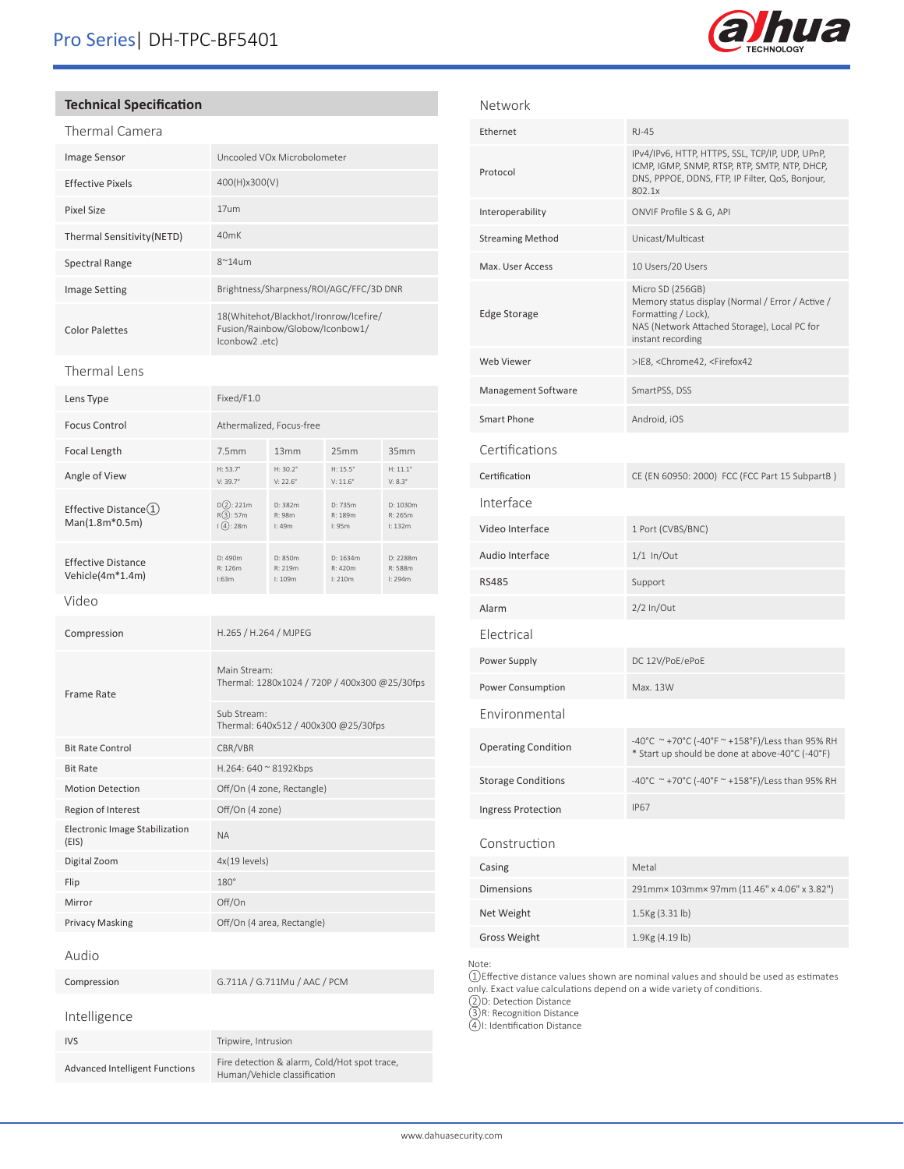

## **Technical Specification**

| Thermal Camera             |                                                                                             |
|----------------------------|---------------------------------------------------------------------------------------------|
| <b>Image Sensor</b>        | Uncooled VOx Microbolometer                                                                 |
| <b>Effective Pixels</b>    | 400(H)x300(V)                                                                               |
| Pixel Size                 | 17um                                                                                        |
| Thermal Sensitivity (NETD) | 40 <sub>m</sub> K                                                                           |
| Spectral Range             | $8^{\sim}14$ um                                                                             |
| <b>Image Setting</b>       | Brightness/Sharpness/ROI/AGC/FFC/3D DNR                                                     |
| <b>Color Palettes</b>      | 18(Whitehot/Blackhot/Ironrow/Icefire/<br>Fusion/Rainbow/Globow/Iconbow1/<br>(lconbow2 .etc. |

#### Thermal Lens

| Lens Type                                              | Fixed/F1.0                                                    |                               |                                    |                                     |
|--------------------------------------------------------|---------------------------------------------------------------|-------------------------------|------------------------------------|-------------------------------------|
| <b>Focus Control</b>                                   | Athermalized, Focus-free                                      |                               |                                    |                                     |
| Focal Length                                           | 7.5mm                                                         | 13mm                          | 25mm                               | 35mm                                |
| Angle of View                                          | $H: 53.7^{\circ}$<br>$V: 39.7^{\circ}$                        | $H: 30.2^{\circ}$<br>V: 22.6° | H: $15.5^\circ$<br>$V: 11.6^\circ$ | $H: 11.1^{\circ}$<br>$V: 8.3^\circ$ |
| Effective Distance $\textcircled{1}$<br>Man(1.8m*0.5m) | $D(2)$ : 221m<br>R(3):57m<br>$(\sqrt{4}):28m$                 | D: 382m<br>R: 98m<br>l:49m    | D: 735m<br>R: 189m<br>l:95m        | D: 1030m<br>R: 265m<br>l: 132m      |
| <b>Effective Distance</b><br>Vehicle(4m*1.4m)          | D: 490m<br>R: 126m<br>1:63m                                   | D: 850m<br>R: 219m<br>I: 109m | D: 1634m<br>R: 420m<br>l: 210m     | D: 2288m<br>R: 588m<br>l: 294m      |
| Video                                                  |                                                               |                               |                                    |                                     |
| Compression                                            |                                                               | H.265 / H.264 / MJPEG         |                                    |                                     |
| <b>Frame Rate</b>                                      | Main Stream:<br>Thermal: 1280x1024 / 720P / 400x300 @25/30fps |                               |                                    |                                     |
|                                                        | Sub Stream:<br>Thermal: 640x512 / 400x300 @25/30fps           |                               |                                    |                                     |
| <b>Bit Rate Control</b>                                | CBR/VBR                                                       |                               |                                    |                                     |
| <b>Bit Rate</b>                                        | H.264: 640 ~ 8192Kbps                                         |                               |                                    |                                     |
| <b>Motion Detection</b>                                | Off/On (4 zone, Rectangle)                                    |                               |                                    |                                     |
| Region of Interest                                     |                                                               | Off/On (4 zone)               |                                    |                                     |
| Electronic Image Stabilization<br>(EIS)                | <b>NA</b>                                                     |                               |                                    |                                     |
| Digital Zoom                                           |                                                               | 4x(19 levels)                 |                                    |                                     |
| Flip                                                   | $180^\circ$                                                   |                               |                                    |                                     |
| Mirror                                                 | Off/On                                                        |                               |                                    |                                     |
| Privacy Masking                                        |                                                               | Off/On (4 area, Rectangle)    |                                    |                                     |
| Audio                                                  |                                                               |                               |                                    |                                     |
| Compression                                            |                                                               | G.711A / G.711Mu / AAC / PCM  |                                    |                                     |
| Intelligence                                           |                                                               |                               |                                    |                                     |
| <b>IVS</b>                                             |                                                               | Tripwire, Intrusion           |                                    |                                     |

| Network                    |                                                                                                                                                                  |
|----------------------------|------------------------------------------------------------------------------------------------------------------------------------------------------------------|
| Ethernet                   | <b>RJ-45</b>                                                                                                                                                     |
| Protocol                   | IPv4/IPv6, HTTP, HTTPS, SSL, TCP/IP, UDP, UPnP,<br>ICMP, IGMP, SNMP, RTSP, RTP, SMTP, NTP, DHCP,<br>DNS, PPPOE, DDNS, FTP, IP Filter, QoS, Bonjour,<br>802.1x    |
| Interoperability           | ONVIF Profile S & G, API                                                                                                                                         |
| <b>Streaming Method</b>    | Unicast/Multicast                                                                                                                                                |
| Max. User Access           | 10 Users/20 Users                                                                                                                                                |
| <b>Edge Storage</b>        | Micro SD (256GB)<br>Memory status display (Normal / Error / Active /<br>Formatting / Lock),<br>NAS (Network Attached Storage), Local PC for<br>instant recording |
| Web Viewer                 | >IE8, <chrome42, <firefox42<="" td=""></chrome42,>                                                                                                               |
| Management Software        | SmartPSS, DSS                                                                                                                                                    |
| Smart Phone                | Android, iOS                                                                                                                                                     |
| Certifications             |                                                                                                                                                                  |
| Certification              | CE (EN 60950: 2000) FCC (FCC Part 15 SubpartB)                                                                                                                   |
| Interface                  |                                                                                                                                                                  |
| Video Interface            | 1 Port (CVBS/BNC)                                                                                                                                                |
| Audio Interface            | $1/1$ In/Out                                                                                                                                                     |
| <b>RS485</b>               | Support                                                                                                                                                          |
| Alarm                      | $2/2$ In/Out                                                                                                                                                     |
| Electrical                 |                                                                                                                                                                  |
| Power Supply               | DC 12V/PoE/ePoE                                                                                                                                                  |
| Power Consumption          | Max. 13W                                                                                                                                                         |
| Environmental              |                                                                                                                                                                  |
| <b>Operating Condition</b> | -40°C ~+70°C (-40°F ~ +158°F)/Less than 95% RH<br>* Start up should be done at above-40°C (-40°F)                                                                |
| <b>Storage Conditions</b>  | -40°C ~+70°C (-40°F ~+158°F)/Less than 95% RH                                                                                                                    |
| Ingress Protection         | <b>IP67</b>                                                                                                                                                      |
| Construction               |                                                                                                                                                                  |
| Casing                     | Metal                                                                                                                                                            |
| <b>Dimensions</b>          | 291mm× 103mm× 97mm (11.46" x 4.06" x 3.82")                                                                                                                      |
| Net Weight                 | 1.5Kg (3.31 lb)                                                                                                                                                  |
| <b>Gross Weight</b>        | 1.9Kg (4.19 lb)                                                                                                                                                  |

Note:

①Effective distance values shown are nominal values and should be used as estimates only. Exact value calculations depend on a wide variety of conditions.

②D: Detection Distance

③R: Recognition Distance

④I: Identification Distance

Advanced Intelligent Functions<br>Fire detection & alarm, Cold/Hot spot trace, Human/Vehicle classification